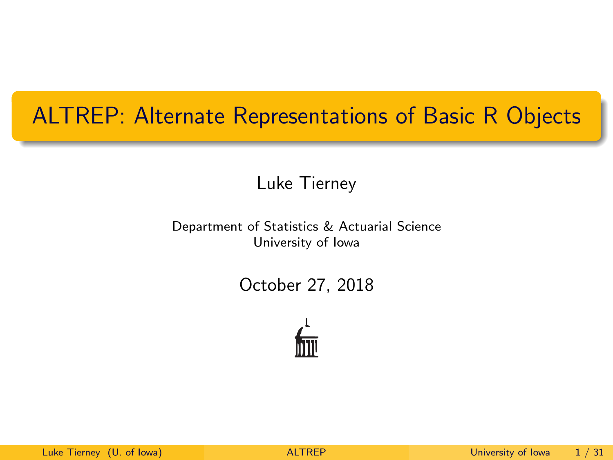## <span id="page-0-0"></span>ALTREP: Alternate Representations of Basic R Objects

Luke Tierney

Department of Statistics & Actuarial Science University of Iowa

October 27, 2018

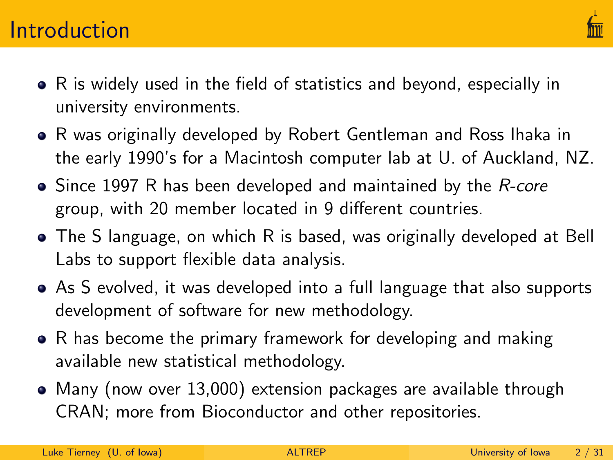

- R is widely used in the field of statistics and beyond, especially in university environments.
- R was originally developed by Robert Gentleman and Ross Ihaka in the early 1990's for a Macintosh computer lab at U. of Auckland, NZ.
- Since 1997 R has been developed and maintained by the R-core group, with 20 member located in 9 different countries.
- The S language, on which R is based, was originally developed at Bell Labs to support flexible data analysis.
- As S evolved, it was developed into a full language that also supports development of software for new methodology.
- R has become the primary framework for developing and making available new statistical methodology.
- Many (now over 13,000) extension packages are available through CRAN; more from Bioconductor and other repositories.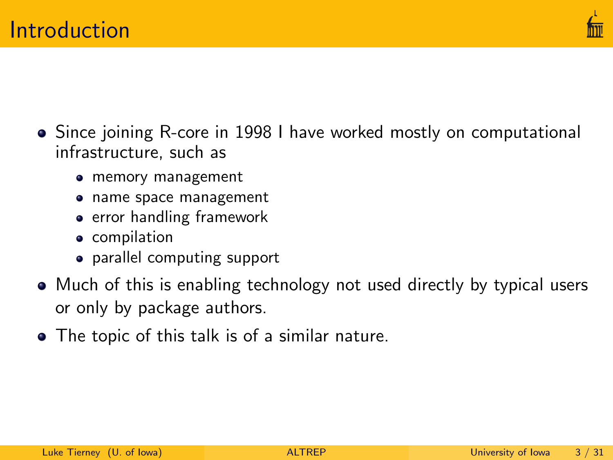

- Since joining R-core in 1998 I have worked mostly on computational infrastructure, such as
	- memory management
	- name space management
	- **•** error handling framework
	- **•** compilation
	- parallel computing support
- Much of this is enabling technology not used directly by typical users or only by package authors.
- The topic of this talk is of a similar nature.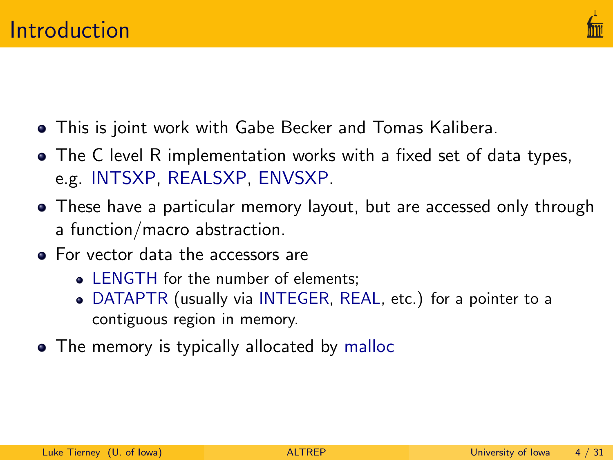

- This is joint work with Gabe Becker and Tomas Kalibera.
- The C level R implementation works with a fixed set of data types, e.g. INTSXP, REALSXP, ENVSXP.
- These have a particular memory layout, but are accessed only through a function/macro abstraction.
- For vector data the accessors are
	- LENGTH for the number of elements:
	- DATAPTR (usually via INTEGER, REAL, etc.) for a pointer to a contiguous region in memory.
- The memory is typically allocated by malloc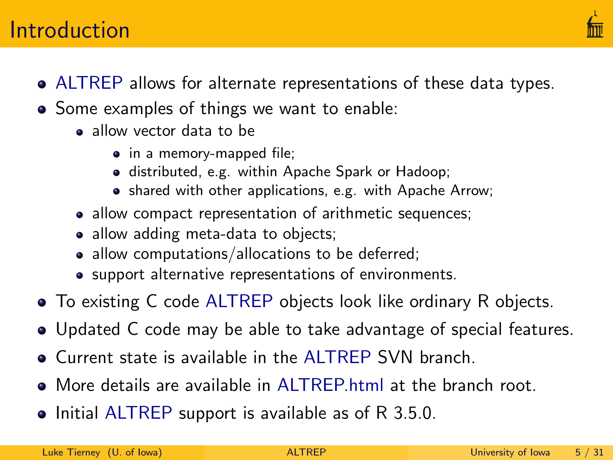### **Introduction**

- ALTREP allows for alternate representations of these data types.
- Some examples of things we want to enable:
	- a allow vector data to be
		- in a memory-mapped file;
		- distributed, e.g. within Apache Spark or Hadoop;
		- shared with other applications, e.g. with Apache Arrow;
	- allow compact representation of arithmetic sequences;
	- allow adding meta-data to objects;
	- allow computations/allocations to be deferred;
	- support alternative representations of environments.
- To existing C code ALTREP objects look like ordinary R objects.
- Updated C code may be able to take advantage of special features.
- Current state is available in the ALTREP SVN branch.
- More details are available in [ALTREP.html](https://svn.r-project.org/R/branches/ALTREP/ALTREP.html) at the branch root.
- Initial ALTREP support is available as of R 3.5.0.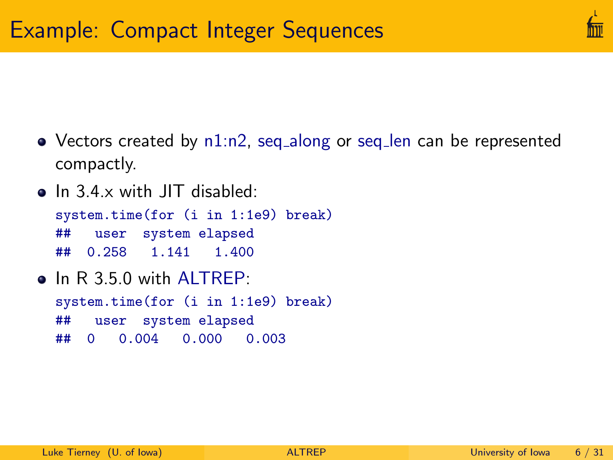- Vectors created by n1:n2, seq\_along or seq\_len can be represented compactly.
- In 3.4.x with JIT disabled: system.time(for (i in 1:1e9) break) ## user system elapsed ## 0.258 1.141 1.400
- $\bullet$  In R 3.5.0 with ALTREP. system.time(for (i in 1:1e9) break) ## user system elapsed ## 0 0.004 0.000 0.003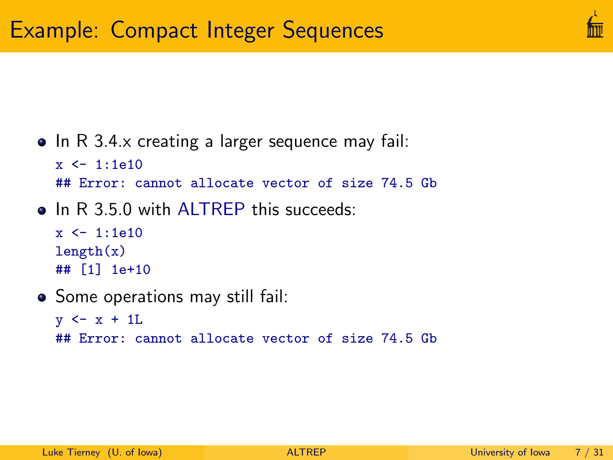

#### $\bullet$  In R 3.4. $\times$  creating a larger sequence may fail:

```
x < -1.1e10
```
## Error: cannot allocate vector of size 74.5 Gb

• In R 3.5.0 with ALTREP this succeeds:

```
x < -1:1e10length(x)## [1] 1e+10
```
• Some operations may still fail:

```
y \leftarrow x + 1L
## Error: cannot allocate vector of size 74.5 Gb
```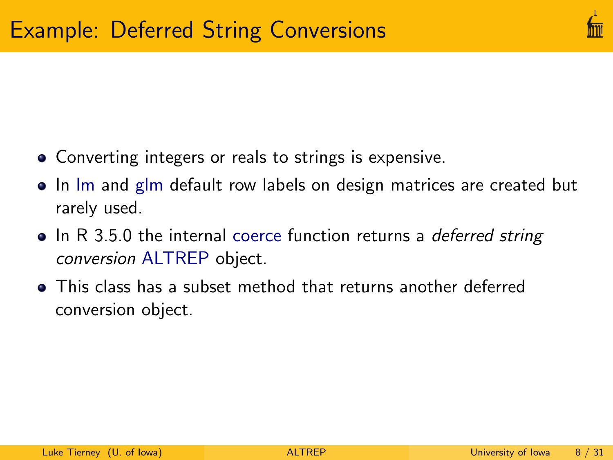- Converting integers or reals to strings is expensive.
- In Im and glm default row labels on design matrices are created but rarely used.
- In R 3.5.0 the internal coerce function returns a *deferred string* conversion ALTREP object.
- This class has a subset method that returns another deferred conversion object.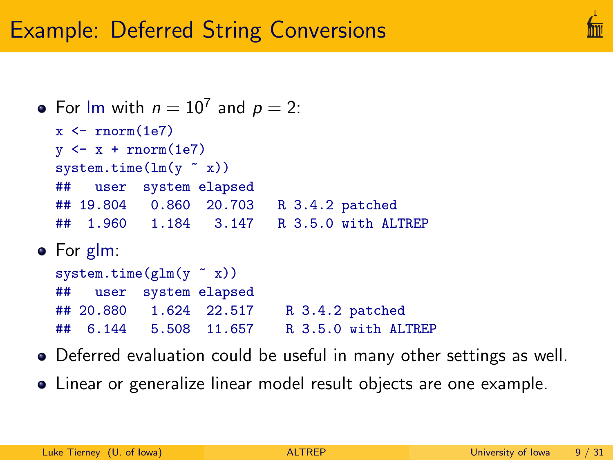# Example: Deferred String Conversions

```
For lm with n = 10^7 and p = 2:
  x \le -\text{norm}(1e7)y \leftarrow x + \text{norm}(1e7)system.time(\ln(y \text{ x}))## user system elapsed
  ## 19.804 0.860 20.703 R 3.4.2 patched
  ## 1.960 1.184 3.147 R 3.5.0 with ALTREP
• For glm:
  system.time(glm(y \ \text{X}))
```
- ## user system elapsed ## 20.880 1.624 22.517 R 3.4.2 patched ## 6.144 5.508 11.657 R 3.5.0 with ALTREP
- Deferred evaluation could be useful in many other settings as well.
- Linear or generalize linear model result objects are one example.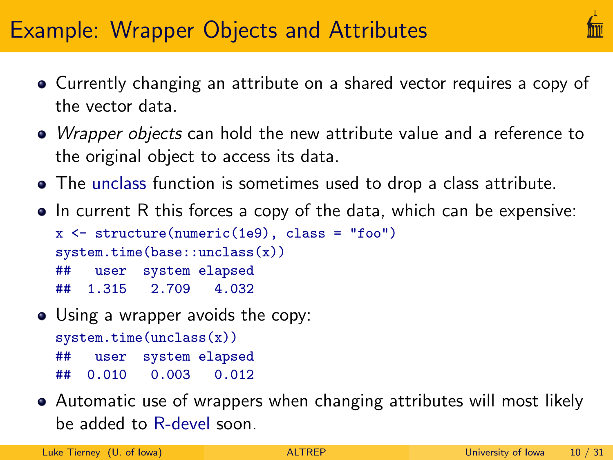# Example: Wrapper Objects and Attributes

- Currently changing an attribute on a shared vector requires a copy of the vector data.
- *Wrapper objects* can hold the new attribute value and a reference to the original object to access its data.
- The unclass function is sometimes used to drop a class attribute.
- In current R this forces a copy of the data, which can be expensive:

 $x \leftarrow$  structure(numeric(1e9), class = "foo") system.time(base::unclass(x)) ## user system elapsed ## 1.315 2.709 4.032

- Using a wrapper avoids the copy: system.time(unclass(x)) ## user system elapsed ## 0.010 0.003 0.012
- Automatic use of wrappers when changing attributes will most likely be added to R-devel soon.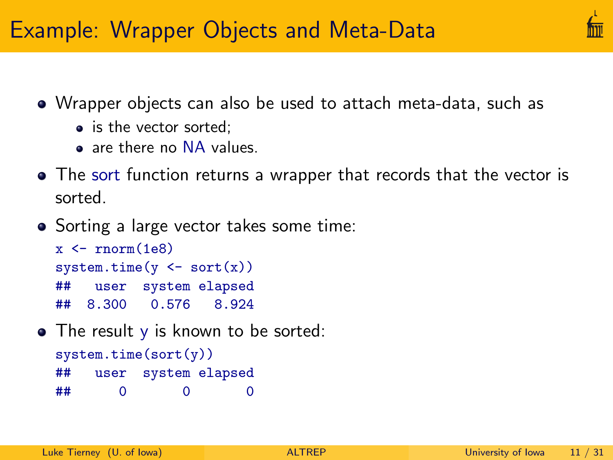

- Wrapper objects can also be used to attach meta-data, such as
	- is the vector sorted;
	- a are there no NA values.
- The sort function returns a wrapper that records that the vector is sorted.
- Sorting a large vector takes some time:

```
x \le -\text{norm}(1e8)system.time(y \leftarrow sort(x))## user system elapsed
## 8.300 0.576 8.924
```
• The result y is known to be sorted:

```
system.time(sort(y))
## user system elapsed
## 0 0 0
```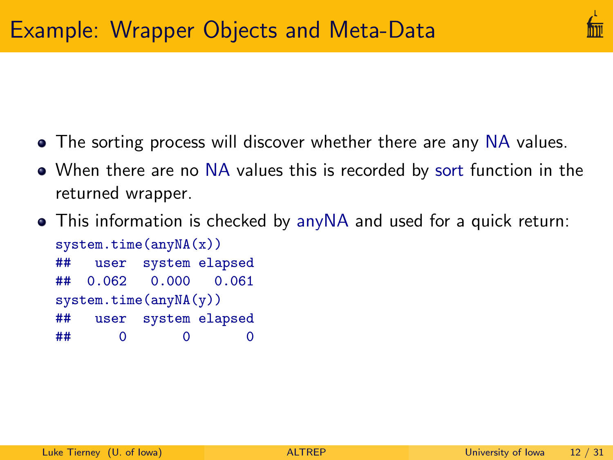

- The sorting process will discover whether there are any NA values.
- When there are no NA values this is recorded by sort function in the returned wrapper.
- This information is checked by anyNA and used for a quick return: system.time(anyNA(x)) ## user system elapsed ## 0.062 0.000 0.061 system.time(anyNA(y)) ## user system elapsed ## 0 0 0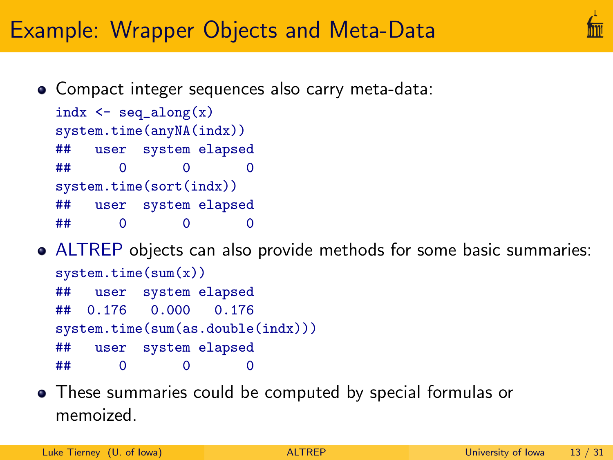# Example: Wrapper Objects and Meta-Data

Compact integer sequences also carry meta-data:

```
indx \leq seq_along(x)
system.time(anyNA(indx))
## user system elapsed
## 0 0 0
system.time(sort(indx))
## user system elapsed
## 0 0 0
```
## 0 0 0

- ALTREP objects can also provide methods for some basic summaries: system.time(sum(x)) ## user system elapsed ## 0.176 0.000 0.176 system.time(sum(as.double(indx))) ## user system elapsed
- These summaries could be computed by special formulas or memoized.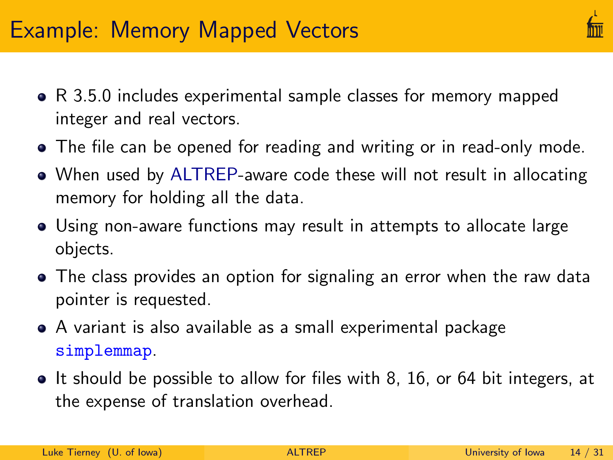- R 3.5.0 includes experimental sample classes for memory mapped integer and real vectors.
- The file can be opened for reading and writing or in read-only mode.
- When used by ALTREP-aware code these will not result in allocating memory for holding all the data.
- Using non-aware functions may result in attempts to allocate large objects.
- The class provides an option for signaling an error when the raw data pointer is requested.
- A variant is also available as a small experimental package [simplemmap](https://github.com/ltierney/Rpkg-simplemmap).
- It should be possible to allow for files with 8, 16, or 64 bit integers, at the expense of translation overhead.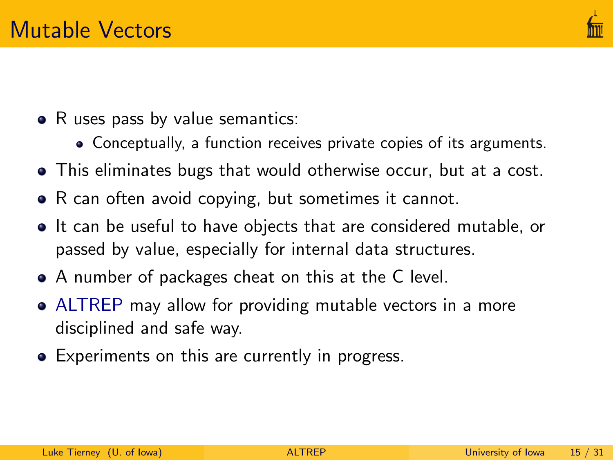

- R uses pass by value semantics:
	- Conceptually, a function receives private copies of its arguments.
- This eliminates bugs that would otherwise occur, but at a cost.
- R can often avoid copying, but sometimes it cannot.
- It can be useful to have objects that are considered mutable, or passed by value, especially for internal data structures.
- A number of packages cheat on this at the C level.
- ALTREP may allow for providing mutable vectors in a more disciplined and safe way.
- Experiments on this are currently in progress.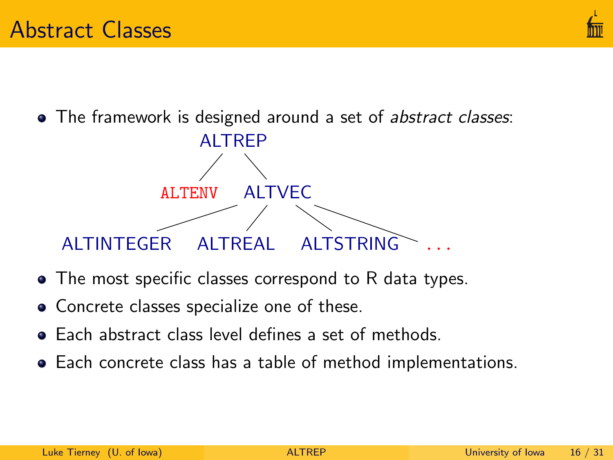• The framework is designed around a set of abstract classes:



- The most specific classes correspond to R data types.
- Concrete classes specialize one of these.
- **•** Each abstract class level defines a set of methods.
- Each concrete class has a table of method implementations.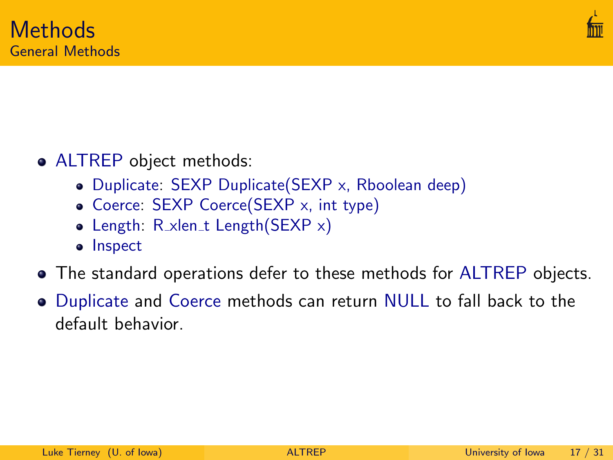

#### • ALTREP object methods:

- Duplicate: SEXP Duplicate(SEXP x, Rboolean deep)
- Coerce: SEXP Coerce(SEXP x, int type)
- Length:  $R_x$ len\_t Length(SEXP  $x$ )
- Inspect
- The standard operations defer to these methods for ALTREP objects.
- Duplicate and Coerce methods can return NULL to fall back to the default behavior.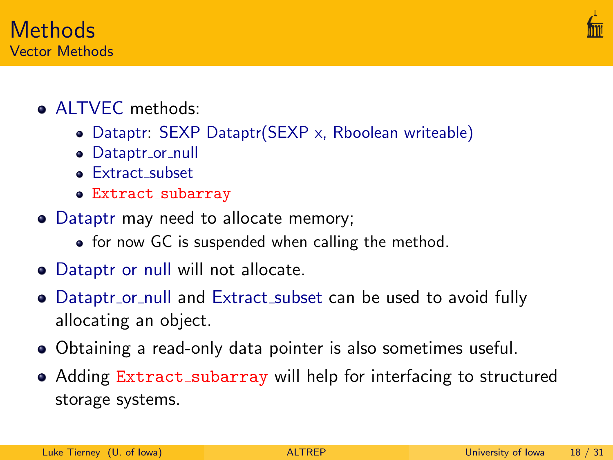

Methods Vector Methods

- Dataptr: SEXP Dataptr(SEXP x, Rboolean writeable)
- · Dataptr\_or\_null
- **•** Extract subset
- Extract\_subarray
- Dataptr may need to allocate memory;
	- for now GC is suspended when calling the method.
- Dataptr\_or\_null will not allocate.
- Dataptr\_or\_null and Extract\_subset can be used to avoid fully allocating an object.
- Obtaining a read-only data pointer is also sometimes useful.
- Adding Extract\_subarray will help for interfacing to structured storage systems.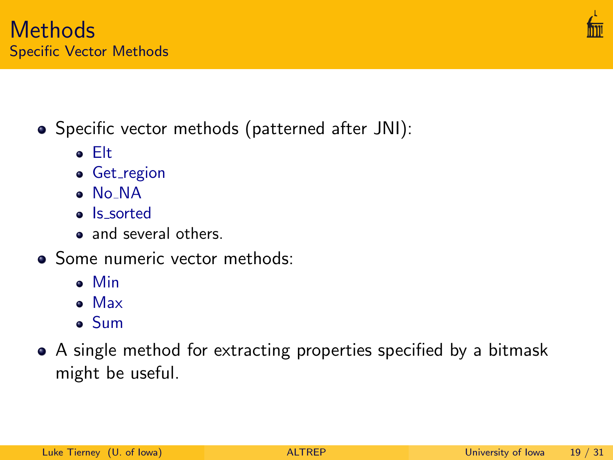- Specific vector methods (patterned after JNI):
	- **•** Get\_region
	- No NA

Elt

- Is sorted
- and several others.
- Some numeric vector methods:
	- Min
	- Max
	- Sum
- A single method for extracting properties specified by a bitmask might be useful.



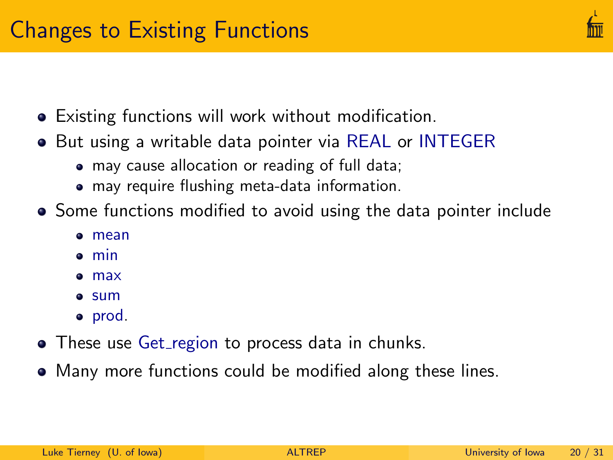

- Existing functions will work without modification.
- **•** But using a writable data pointer via REAL or INTEGER
	- may cause allocation or reading of full data;
	- may require flushing meta-data information.
- Some functions modified to avoid using the data pointer include
	- mean
	- min
	- max
	- **a** sum
	- prod.
- These use Get\_region to process data in chunks.
- Many more functions could be modified along these lines.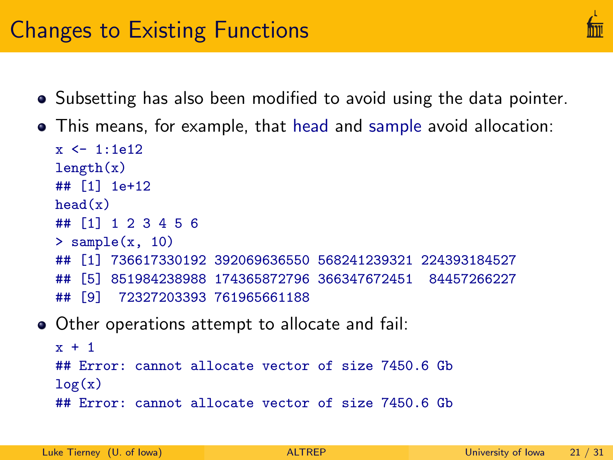## Changes to Existing Functions

- Subsetting has also been modified to avoid using the data pointer.
- This means, for example, that head and sample avoid allocation:

```
x < -1.1612length(x)## [1] 1e+12
head(x)## [1] 1 2 3 4 5 6
> sample(x, 10)## [1] 736617330192 392069636550 568241239321 224393184527
## [5] 851984238988 174365872796 366347672451 84457266227
## [9] 72327203393 761965661188
```
Other operations attempt to allocate and fail:

```
x + 1## Error: cannot allocate vector of size 7450.6 Gb
log(x)## Error: cannot allocate vector of size 7450.6 Gb
```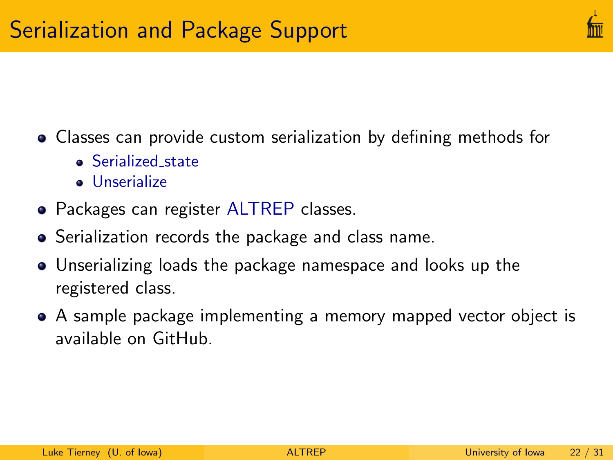

- Classes can provide custom serialization by defining methods for
	- Serialized state
	- **Unserialize**
- Packages can register ALTREP classes.
- **•** Serialization records the package and class name.
- Unserializing loads the package namespace and looks up the registered class.
- A sample package implementing a memory mapped vector object is available on GitHub.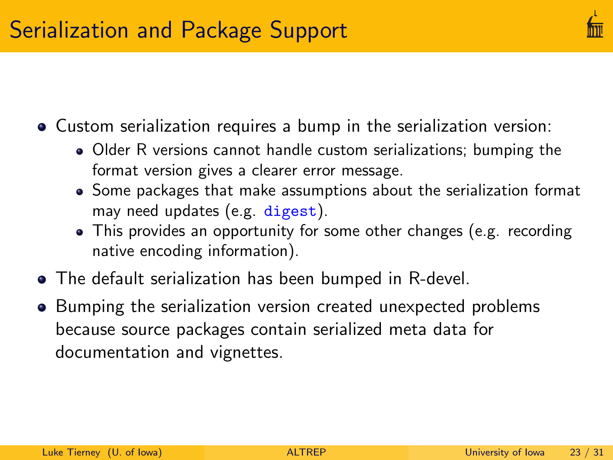- Custom serialization requires a bump in the serialization version:
	- Older R versions cannot handle custom serializations; bumping the format version gives a clearer error message.
	- Some packages that make assumptions about the serialization format may need updates (e.g. digest).
	- This provides an opportunity for some other changes (e.g. recording native encoding information).
- The default serialization has been bumped in R-devel.
- Bumping the serialization version created unexpected problems because source packages contain serialized meta data for documentation and vignettes.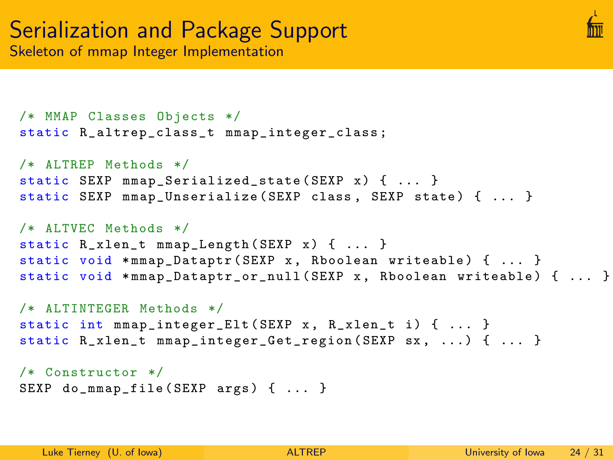

```
/* MMAP Classes Objects */
static R_altrep_class_t mmap_integer_class ;
/* ALTREP Methods */
static SEXP mmap_Serialized_state (SEXP x) { ... }
static SEXP mmap_Unserialize ( SEXP class, SEXP state ) { ... }
```

```
/* ALTVEC Methods */
static R_xlen_t mmap_Length (SEXP x) { ... }
static void *mmap_Dataptr (SEXP x, Rboolean writeable) { ... }
static void *mmap_Dataptr_or_null (SEXP x, Rboolean writeable) { ... }
```

```
/* ALTINTEGER Methods */
static int mmap_integer_Elt (SEXP x, R_xlen_t i) { ... }
static R_xlen_t mmap_integer_Get_region (SEXP sx, ...) { ... }
```

```
/* Constructor */
SEXP do_mmap_file (SEXP args) { ... }
```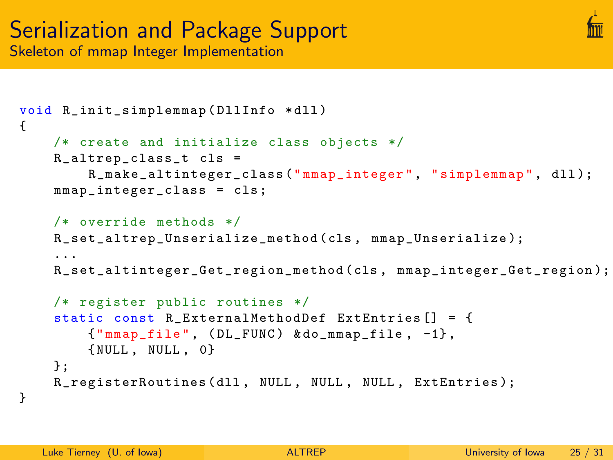

```
void R_init_simplemmap ( DllInfo * dll )
{
    /* create and initialize class objects */
    R_altrep_class_t cls =
        R_make_altinteger_class (" mmap_integer ", " simplemmap ", dll );
    mmap_integer_class = cls ;
    /* override methods */
    R_set_altrep_Unserialize_method ( cls , mmap_Unserialize );
    ...
    R_set_altinteger_Get_region_method ( cls , mmap_integer_Get_region );
    /* register public routines */
    static const R ExternalMethodDef ExtEntries [] = {{" mmap_file ", ( DL_FUNC ) & do_mmap_file , -1} ,
        { NULL , NULL , 0}
    };
```

```
R_registerRoutines (dll, NULL, NULL, NULL, ExtEntries);
```

```
}
```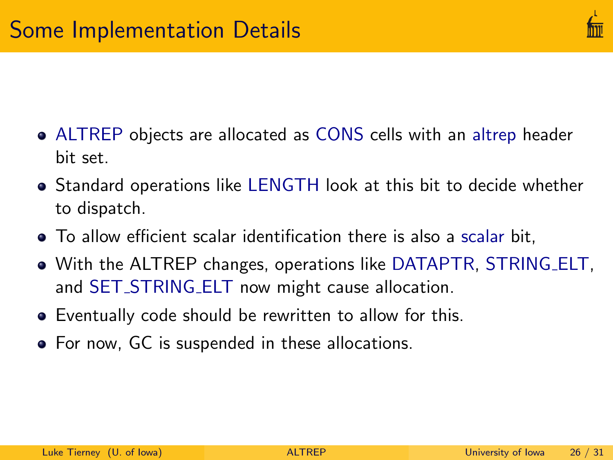

- ALTREP objects are allocated as CONS cells with an altrep header bit set.
- Standard operations like LENGTH look at this bit to decide whether to dispatch.
- To allow efficient scalar identification there is also a scalar bit,
- With the ALTREP changes, operations like DATAPTR, STRING ELT, and SET\_STRING\_ELT now might cause allocation.
- Eventually code should be rewritten to allow for this.
- For now, GC is suspended in these allocations.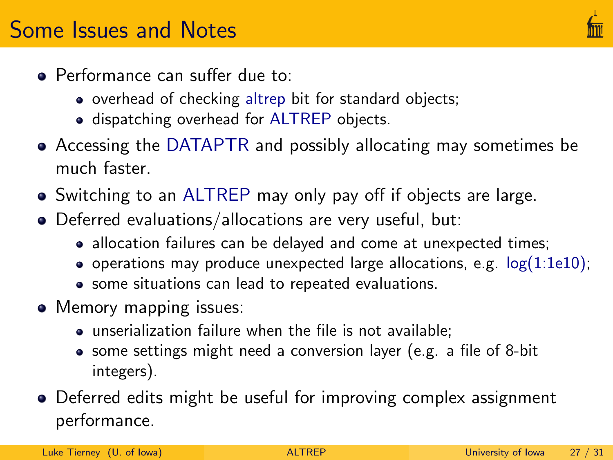- Performance can suffer due to:
	- overhead of checking altrep bit for standard objects;
	- **.** dispatching overhead for ALTREP objects.
- Accessing the DATAPTR and possibly allocating may sometimes be much faster.
- Switching to an ALTREP may only pay off if objects are large.
- Deferred evaluations/allocations are very useful, but:
	- allocation failures can be delayed and come at unexpected times;
	- operations may produce unexpected large allocations, e.g.  $log(1:1e10)$ ;
	- some situations can lead to repeated evaluations.
- Memory mapping issues:
	- unserialization failure when the file is not available;
	- some settings might need a conversion layer (e.g. a file of 8-bit integers).
- Deferred edits might be useful for improving complex assignment performance.

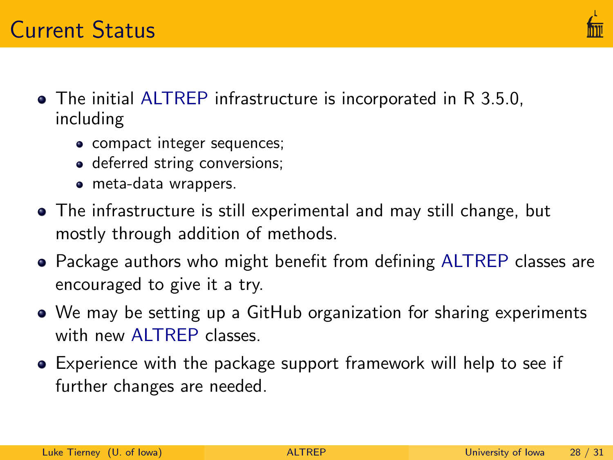

- The initial ALTREP infrastructure is incorporated in R 3.5.0, including
	- compact integer sequences;
	- deferred string conversions;
	- meta-data wrappers.
- The infrastructure is still experimental and may still change, but mostly through addition of methods.
- Package authors who might benefit from defining ALTREP classes are encouraged to give it a try.
- We may be setting up a GitHub organization for sharing experiments with new ALTREP classes.
- Experience with the package support framework will help to see if further changes are needed.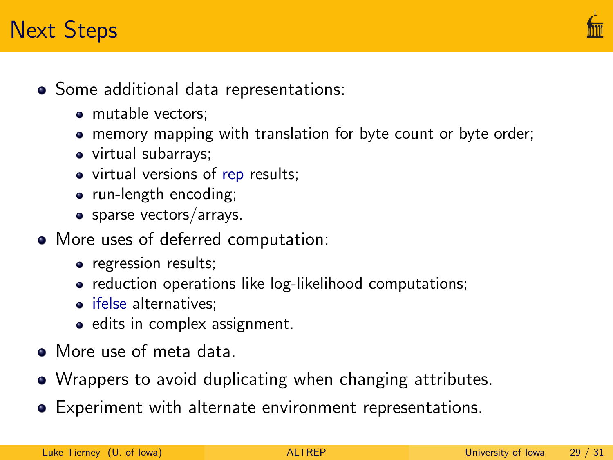## Next Steps



- Some additional data representations:
	- mutable vectors;
	- memory mapping with translation for byte count or byte order;
	- virtual subarrays;
	- virtual versions of rep results;
	- run-length encoding;
	- sparse vectors/arrays.
- More uses of deferred computation:
	- regression results;
	- reduction operations like log-likelihood computations;
	- ifelse alternatives:
	- edits in complex assignment.
- More use of meta data.
- Wrappers to avoid duplicating when changing attributes.
- Experiment with alternate environment representations.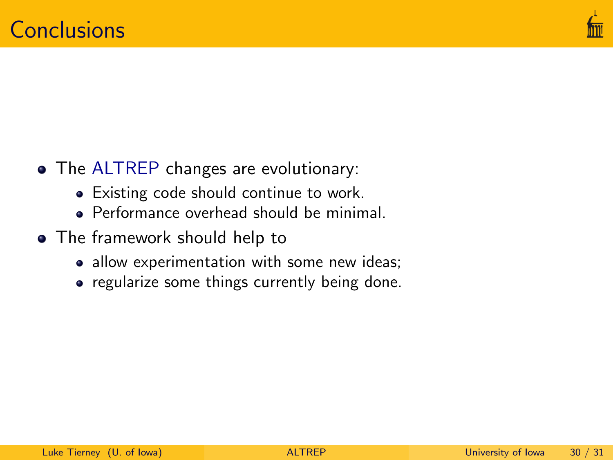

- The ALTREP changes are evolutionary:
	- Existing code should continue to work.
	- Performance overhead should be minimal.
- The framework should help to
	- allow experimentation with some new ideas;
	- regularize some things currently being done.